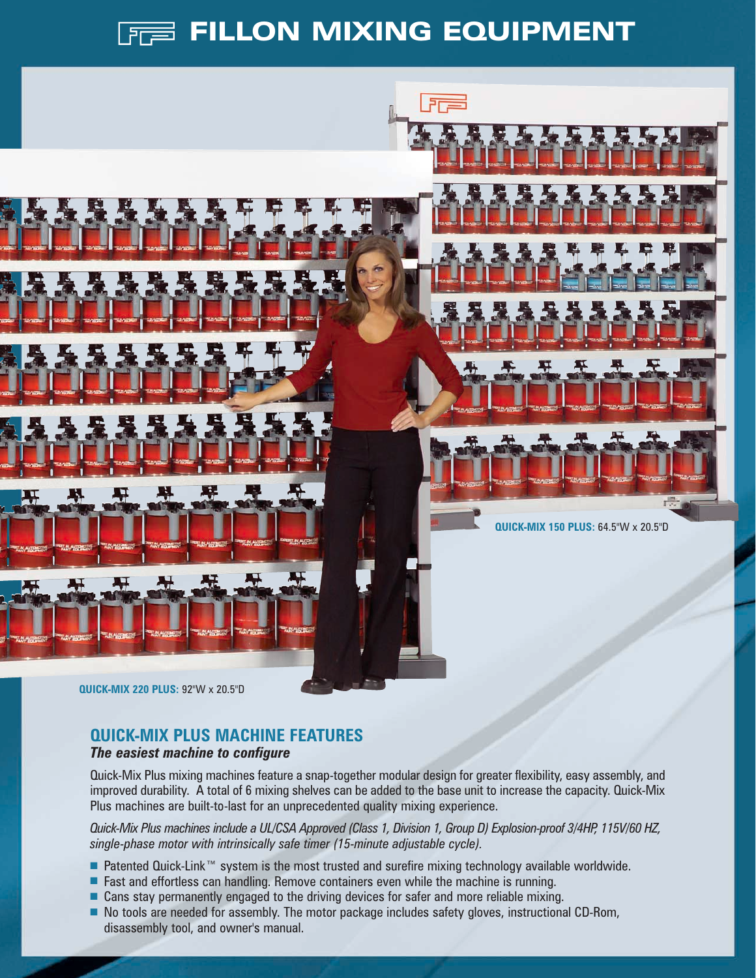## **FREE FILLON MIXING EQUIPMENT**



### **QUICK-MIX PLUS MACHINE FEATURES**

### *The easiest machine to configure*

Quick-Mix Plus mixing machines feature a snap-together modular design for greater flexibility, easy assembly, and improved durability. A total of 6 mixing shelves can be added to the base unit to increase the capacity. Quick-Mix Plus machines are built-to-last for an unprecedented quality mixing experience.

*Quick-Mix Plus machines include a UL/CSA Approved (Class 1, Division 1, Group D) Explosion-proof 3/4HP, 115V/60 HZ, single-phase motor with intrinsically safe timer (15-minute adjustable cycle).*

- Patented Quick-Link™ system is the most trusted and surefire mixing technology available worldwide.
- Fast and effortless can handling. Remove containers even while the machine is running.
- Cans stay permanently engaged to the driving devices for safer and more reliable mixing.
- No tools are needed for assembly. The motor package includes safety gloves, instructional CD-Rom, disassembly tool, and owner's manual.